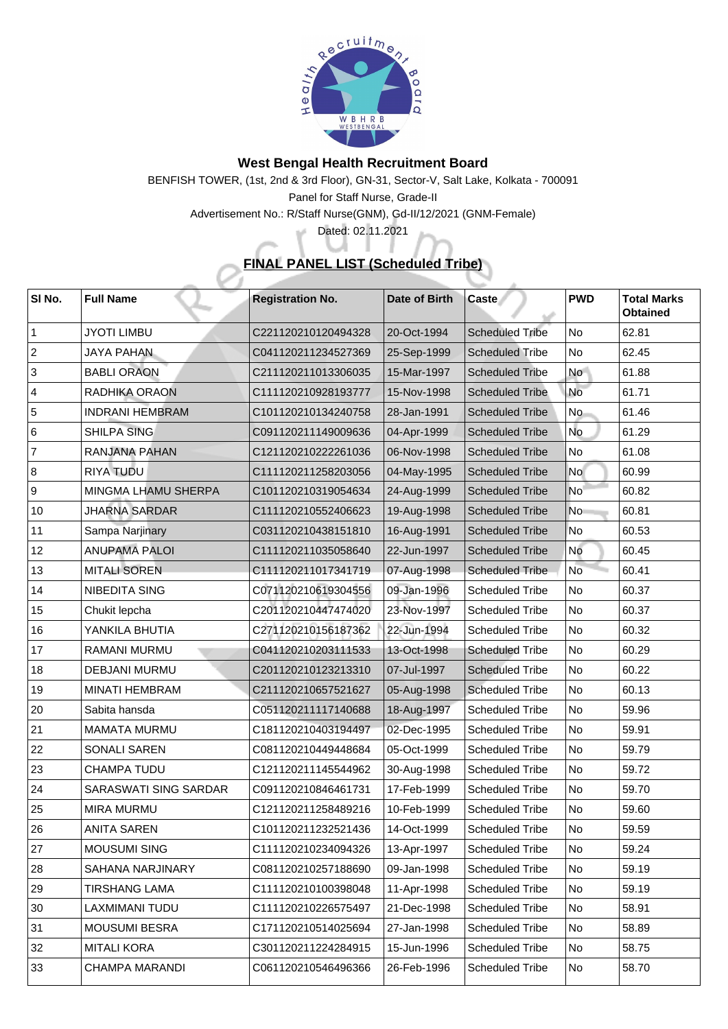

## **West Bengal Health Recruitment Board**

BENFISH TOWER, (1st, 2nd & 3rd Floor), GN-31, Sector-V, Salt Lake, Kolkata - 700091 Panel for Staff Nurse, Grade-II

Advertisement No.: R/Staff Nurse(GNM), Gd-II/12/2021 (GNM-Female)

Dated: 02.11.2021

أفرعه

## **FINAL PANEL LIST (Scheduled Tribe)**

| SI No.         | <b>Full Name</b>             | <b>Registration No.</b> | <b>Date of Birth</b> | <b>Caste</b>           | <b>PWD</b>               | <b>Total Marks</b><br><b>Obtained</b> |
|----------------|------------------------------|-------------------------|----------------------|------------------------|--------------------------|---------------------------------------|
|                | <b>JYOTI LIMBU</b>           | C221120210120494328     | 20-Oct-1994          | <b>Scheduled Tribe</b> | N <sub>o</sub>           | 62.81                                 |
| 2              | <b>JAYA PAHAN</b>            | C041120211234527369     | 25-Sep-1999          | <b>Scheduled Tribe</b> | No                       | 62.45                                 |
| 3              | <b>BABLI ORAON</b>           | C211120211013306035     | 15-Mar-1997          | <b>Scheduled Tribe</b> | <b>No</b>                | 61.88                                 |
| $\overline{4}$ | <b>RADHIKA ORAON</b>         | C111120210928193777     | 15-Nov-1998          | <b>Scheduled Tribe</b> | No                       | 61.71                                 |
| 5              | <b>INDRANI HEMBRAM</b>       | C101120210134240758     | 28-Jan-1991          | <b>Scheduled Tribe</b> | No.                      | 61.46                                 |
| 6              | <b>SHILPA SING</b>           | C091120211149009636     | 04-Apr-1999          | <b>Scheduled Tribe</b> | <b>No</b>                | 61.29                                 |
| $\overline{7}$ | <b>RANJANA PAHAN</b>         | C121120210222261036     | 06-Nov-1998          | <b>Scheduled Tribe</b> | $\overline{\mathsf{No}}$ | 61.08                                 |
| 8              | RIYA TUDU                    | C111120211258203056     | 04-May-1995          | <b>Scheduled Tribe</b> | No                       | 60.99                                 |
| 9              | <b>MINGMA LHAMU SHERPA</b>   | C101120210319054634     | 24-Aug-1999          | <b>Scheduled Tribe</b> | <b>No</b>                | 60.82                                 |
| 10             | <b>JHARNA SARDAR</b>         | C111120210552406623     | 19-Aug-1998          | <b>Scheduled Tribe</b> | N <sub>o</sub>           | 60.81                                 |
| 11             | <b>Sampa Narjinary</b>       | C031120210438151810     | 16-Aug-1991          | <b>Scheduled Tribe</b> | No                       | 60.53                                 |
| 12             | <b>ANUPAMA PALOI</b>         | C111120211035058640     | 22-Jun-1997          | <b>Scheduled Tribe</b> | No                       | 60.45                                 |
| 13             | <b>MITALI SOREN</b>          | C111120211017341719     | 07-Aug-1998          | <b>Scheduled Tribe</b> | <b>No</b>                | 60.41                                 |
| 14             | <b>NIBEDITA SING</b>         | C071120210619304556     | 09-Jan-1996          | <b>Scheduled Tribe</b> | No                       | 60.37                                 |
| 15             | Chukit lepcha                | C201120210447474020     | 23-Nov-1997          | <b>Scheduled Tribe</b> | No                       | 60.37                                 |
| 16             | YANKILA BHUTIA               | C271120210156187362     | 22-Jun-1994          | <b>Scheduled Tribe</b> | N <sub>o</sub>           | 60.32                                 |
| 17             | <b>RAMANI MURMU</b>          | C041120210203111533     | 13-Oct-1998          | <b>Scheduled Tribe</b> | No                       | 60.29                                 |
| 18             | <b>DEBJANI MURMU</b>         | C201120210123213310     | 07-Jul-1997          | Scheduled Tribe        | No                       | 60.22                                 |
| 19             | <b>MINATI HEMBRAM</b>        | C211120210657521627     | 05-Aug-1998          | <b>Scheduled Tribe</b> | No                       | 60.13                                 |
| 20             | Sabita hansda                | C051120211117140688     | 18-Aug-1997          | <b>Scheduled Tribe</b> | N <sub>o</sub>           | 59.96                                 |
| 21             | <b>MAMATA MURMU</b>          | C181120210403194497     | 02-Dec-1995          | <b>Scheduled Tribe</b> | N <sub>o</sub>           | 59.91                                 |
| 22             | <b>SONALI SAREN</b>          | C081120210449448684     | 05-Oct-1999          | <b>Scheduled Tribe</b> | No                       | 59.79                                 |
| 23             | <b>CHAMPA TUDU</b>           | C121120211145544962     | 30-Aug-1998          | <b>Scheduled Tribe</b> | No                       | 59.72                                 |
| 24             | <b>SARASWATI SING SARDAR</b> | C091120210846461731     | 17-Feb-1999          | <b>Scheduled Tribe</b> | <b>No</b>                | 59.70                                 |
| 25             | <b>MIRA MURMU</b>            | C121120211258489216     | 10-Feb-1999          | <b>Scheduled Tribe</b> | No                       | 59.60                                 |
| 26             | <b>ANITA SAREN</b>           | C101120211232521436     | 14-Oct-1999          | <b>Scheduled Tribe</b> | N <sub>o</sub>           | 59.59                                 |
| 27             | <b>MOUSUMI SING</b>          | C111120210234094326     | 13-Apr-1997          | <b>Scheduled Tribe</b> | No                       | 59.24                                 |
| 28             | <b>SAHANA NARJINARY</b>      | C081120210257188690     | 09-Jan-1998          | <b>Scheduled Tribe</b> | No                       | 59.19                                 |
| 29             | <b>TIRSHANG LAMA</b>         | C111120210100398048     | 11-Apr-1998          | <b>Scheduled Tribe</b> | No                       | 59.19                                 |
| 30             | LAXMIMANI TUDU               | C111120210226575497     | 21-Dec-1998          | <b>Scheduled Tribe</b> | No                       | 58.91                                 |
| 31             | <b>MOUSUMI BESRA</b>         | C171120210514025694     | 27-Jan-1998          | <b>Scheduled Tribe</b> | No                       | 58.89                                 |
| 32             | <b>MITALI KORA</b>           | C301120211224284915     | 15-Jun-1996          | <b>Scheduled Tribe</b> | No                       | 58.75                                 |
| 33             | <b>CHAMPA MARANDI</b>        | C061120210546496366     | 26-Feb-1996          | <b>Scheduled Tribe</b> | No                       | 58.70                                 |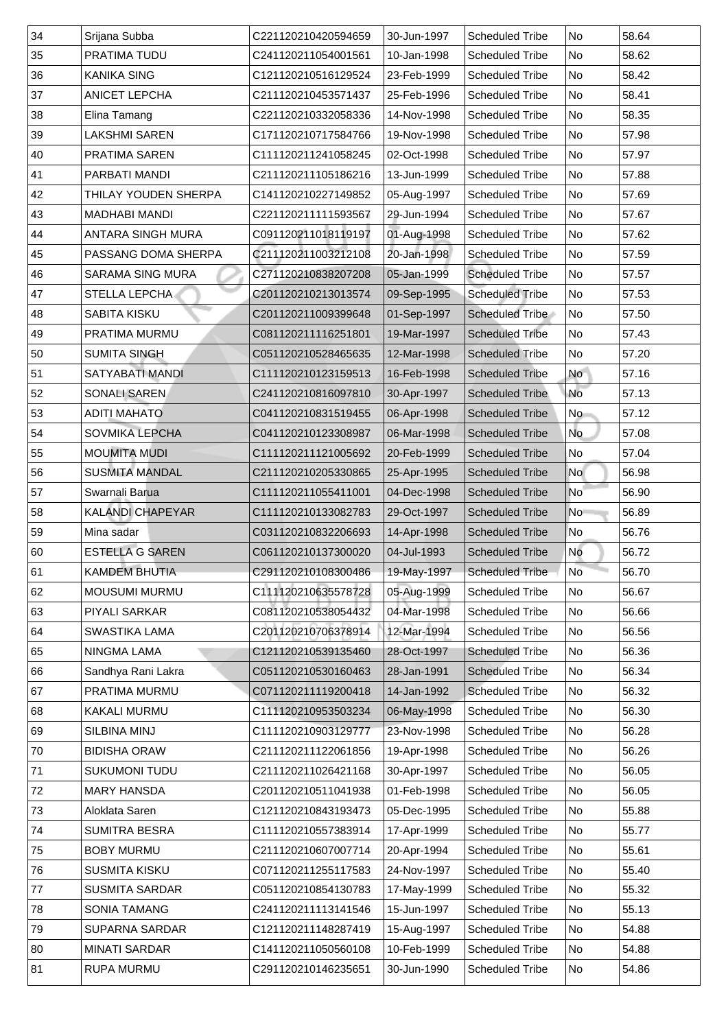| 34 | Srijana Subba               | C221120210420594659 | 30-Jun-1997 | <b>Scheduled Tribe</b> | No                       | 58.64 |
|----|-----------------------------|---------------------|-------------|------------------------|--------------------------|-------|
| 35 | <b>PRATIMA TUDU</b>         | C241120211054001561 | 10-Jan-1998 | <b>Scheduled Tribe</b> | No                       | 58.62 |
| 36 | <b>KANIKA SING</b>          | C121120210516129524 | 23-Feb-1999 | <b>Scheduled Tribe</b> | No                       | 58.42 |
| 37 | <b>ANICET LEPCHA</b>        | C211120210453571437 | 25-Feb-1996 | <b>Scheduled Tribe</b> | No                       | 58.41 |
| 38 | Elina Tamang                | C221120210332058336 | 14-Nov-1998 | <b>Scheduled Tribe</b> | No                       | 58.35 |
| 39 | <b>LAKSHMI SAREN</b>        | C171120210717584766 | 19-Nov-1998 | <b>Scheduled Tribe</b> | N <sub>o</sub>           | 57.98 |
| 40 | <b>PRATIMA SAREN</b>        | C111120211241058245 | 02-Oct-1998 | <b>Scheduled Tribe</b> | No                       | 57.97 |
| 41 | <b>PARBATI MANDI</b>        | C211120211105186216 | 13-Jun-1999 | <b>Scheduled Tribe</b> | No                       | 57.88 |
| 42 | <b>THILAY YOUDEN SHERPA</b> | C141120210227149852 | 05-Aug-1997 | <b>Scheduled Tribe</b> | N <sub>o</sub>           | 57.69 |
| 43 | <b>MADHABI MANDI</b>        | C221120211111593567 | 29-Jun-1994 | <b>Scheduled Tribe</b> | No                       | 57.67 |
| 44 | <b>ANTARA SINGH MURA</b>    | C091120211018119197 | 01-Aug-1998 | <b>Scheduled Tribe</b> | N <sub>o</sub>           | 57.62 |
| 45 | <b>PASSANG DOMA SHERPA</b>  | C211120211003212108 | 20-Jan-1998 | <b>Scheduled Tribe</b> | No                       | 57.59 |
| 46 | <b>SARAMA SING MURA</b>     | C271120210838207208 | 05-Jan-1999 | <b>Scheduled Tribe</b> | N <sub>o</sub>           | 57.57 |
| 47 | <b>STELLA LEPCHA</b>        | C201120210213013574 | 09-Sep-1995 | <b>Scheduled Tribe</b> | No                       | 57.53 |
| 48 | <b>SABITA KISKU</b>         | C201120211009399648 | 01-Sep-1997 | Scheduled Tribe        | No                       | 57.50 |
| 49 | <b>PRATIMA MURMU</b>        | C081120211116251801 | 19-Mar-1997 | <b>Scheduled Tribe</b> | No                       | 57.43 |
| 50 | <b>SUMITA SINGH</b>         | C051120210528465635 | 12-Mar-1998 | <b>Scheduled Tribe</b> | No                       | 57.20 |
| 51 | <b>SATYABATI MANDI</b>      | C111120210123159513 | 16-Feb-1998 | <b>Scheduled Tribe</b> | <b>No</b>                | 57.16 |
| 52 | <b>SONALI SAREN</b>         | C241120210816097810 | 30-Apr-1997 | <b>Scheduled Tribe</b> | <b>No</b>                | 57.13 |
| 53 | <b>ADITI MAHATO</b>         | C041120210831519455 | 06-Apr-1998 | <b>Scheduled Tribe</b> | No                       | 57.12 |
| 54 | <b>SOVMIKA LEPCHA</b>       | C041120210123308987 | 06-Mar-1998 | <b>Scheduled Tribe</b> | No                       | 57.08 |
| 55 | <b>MOUMITA MUDI</b>         | C111120211121005692 | 20-Feb-1999 | <b>Scheduled Tribe</b> | No                       | 57.04 |
| 56 | <b>SUSMITA MANDAL</b>       | C211120210205330865 | 25-Apr-1995 | <b>Scheduled Tribe</b> | No l                     | 56.98 |
| 57 | Swarnali Barua              | C111120211055411001 | 04-Dec-1998 | <b>Scheduled Tribe</b> | $\overline{\mathsf{No}}$ | 56.90 |
| 58 | <b>KALANDI CHAPEYAR</b>     | C111120210133082783 | 29-Oct-1997 | <b>Scheduled Tribe</b> | No                       | 56.89 |
| 59 | Mina sadar                  | C031120210832206693 | 14-Apr-1998 | <b>Scheduled Tribe</b> | No                       | 56.76 |
| 60 | <b>ESTELLA G SAREN</b>      | C061120210137300020 | 04-Jul-1993 | <b>Scheduled Tribe</b> | <b>No</b>                | 56.72 |
| 61 | <b>KAMDEM BHUTIA</b>        | C291120210108300486 | 19-May-1997 | <b>Scheduled Tribe</b> | <b>No</b>                | 56.70 |
| 62 | <b>MOUSUMI MURMU</b>        | C111120210635578728 | 05-Aug-1999 | <b>Scheduled Tribe</b> | No                       | 56.67 |
| 63 | <b>PIYALI SARKAR</b>        | C081120210538054432 | 04-Mar-1998 | <b>Scheduled Tribe</b> | No                       | 56.66 |
| 64 | <b>SWASTIKA LAMA</b>        | C201120210706378914 | 12-Mar-1994 | <b>Scheduled Tribe</b> | No                       | 56.56 |
| 65 | <b>NINGMA LAMA</b>          | C121120210539135460 | 28-Oct-1997 | <b>Scheduled Tribe</b> | No                       | 56.36 |
| 66 | Sandhya Rani Lakra          | C051120210530160463 | 28-Jan-1991 | <b>Scheduled Tribe</b> | No                       | 56.34 |
| 67 | <b>PRATIMA MURMU</b>        | C071120211119200418 | 14-Jan-1992 | <b>Scheduled Tribe</b> | N <sub>o</sub>           | 56.32 |
| 68 | KAKALI MURMU                | C111120210953503234 | 06-May-1998 | <b>Scheduled Tribe</b> | No                       | 56.30 |
| 69 | <b>SILBINA MINJ</b>         | C111120210903129777 | 23-Nov-1998 | <b>Scheduled Tribe</b> | No                       | 56.28 |
| 70 | <b>BIDISHA ORAW</b>         | C211120211122061856 | 19-Apr-1998 | <b>Scheduled Tribe</b> | No                       | 56.26 |
| 71 | <b>SUKUMONI TUDU</b>        | C211120211026421168 | 30-Apr-1997 | <b>Scheduled Tribe</b> | No                       | 56.05 |
| 72 | <b>MARY HANSDA</b>          | C201120210511041938 | 01-Feb-1998 | <b>Scheduled Tribe</b> | N <sub>o</sub>           | 56.05 |
| 73 | Aloklata Saren              | C121120210843193473 | 05-Dec-1995 | <b>Scheduled Tribe</b> | No                       | 55.88 |
| 74 | <b>SUMITRA BESRA</b>        | C111120210557383914 | 17-Apr-1999 | <b>Scheduled Tribe</b> | No                       | 55.77 |
| 75 | <b>BOBY MURMU</b>           | C211120210607007714 | 20-Apr-1994 | <b>Scheduled Tribe</b> | No No                    | 55.61 |
| 76 | <b>SUSMITA KISKU</b>        | C071120211255117583 | 24-Nov-1997 | <b>Scheduled Tribe</b> | No.                      | 55.40 |
| 77 | <b>SUSMITA SARDAR</b>       | C051120210854130783 | 17-May-1999 | <b>Scheduled Tribe</b> | No                       | 55.32 |
| 78 | <b>SONIA TAMANG</b>         | C241120211113141546 | 15-Jun-1997 | <b>Scheduled Tribe</b> | No                       | 55.13 |
| 79 | <b>SUPARNA SARDAR</b>       | C121120211148287419 | 15-Aug-1997 | <b>Scheduled Tribe</b> | No                       | 54.88 |
| 80 | <b>MINATI SARDAR</b>        | C141120211050560108 | 10-Feb-1999 | <b>Scheduled Tribe</b> | No                       | 54.88 |
| 81 | <b>RUPA MURMU</b>           | C291120210146235651 | 30-Jun-1990 | <b>Scheduled Tribe</b> | No                       | 54.86 |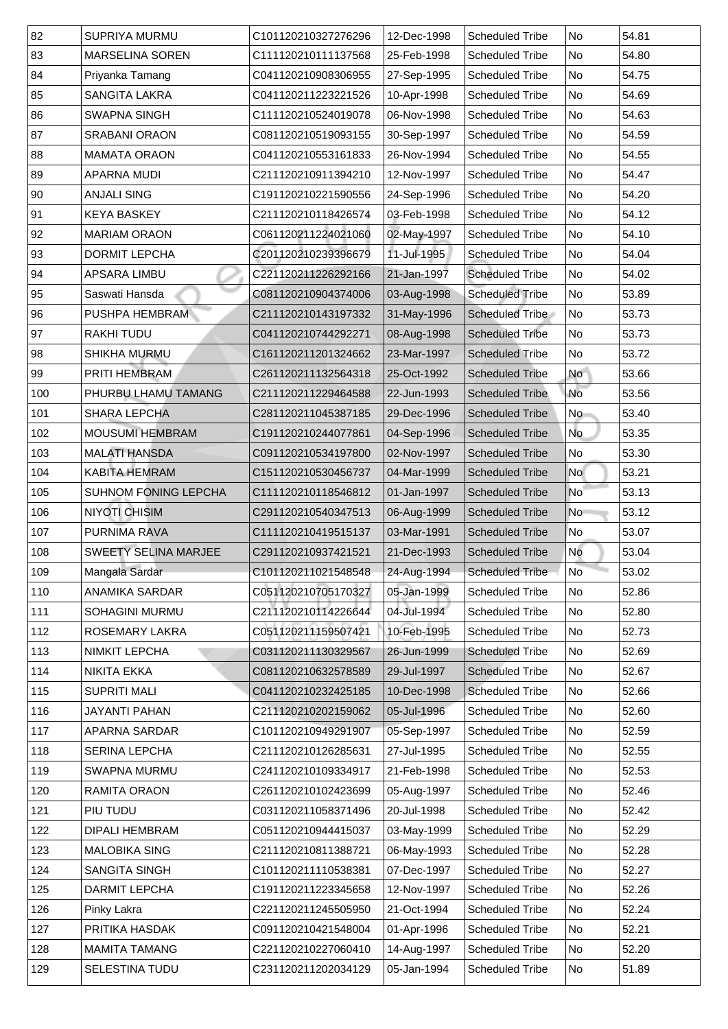| 82  | <b>SUPRIYA MURMU</b>        | C101120210327276296 | 12-Dec-1998 | <b>Scheduled Tribe</b> | No                       | 54.81 |
|-----|-----------------------------|---------------------|-------------|------------------------|--------------------------|-------|
| 83  | <b>MARSELINA SOREN</b>      | C111120210111137568 | 25-Feb-1998 | <b>Scheduled Tribe</b> | No                       | 54.80 |
| 84  | Priyanka Tamang             | C041120210908306955 | 27-Sep-1995 | <b>Scheduled Tribe</b> | No                       | 54.75 |
| 85  | <b>SANGITA LAKRA</b>        | C041120211223221526 | 10-Apr-1998 | <b>Scheduled Tribe</b> | No                       | 54.69 |
| 86  | <b>SWAPNA SINGH</b>         | C111120210524019078 | 06-Nov-1998 | <b>Scheduled Tribe</b> | No                       | 54.63 |
| 87  | <b>SRABANI ORAON</b>        | C081120210519093155 | 30-Sep-1997 | <b>Scheduled Tribe</b> | No                       | 54.59 |
| 88  | <b>MAMATA ORAON</b>         | C041120210553161833 | 26-Nov-1994 | <b>Scheduled Tribe</b> | No                       | 54.55 |
| 89  | APARNA MUDI                 | C211120210911394210 | 12-Nov-1997 | <b>Scheduled Tribe</b> | No                       | 54.47 |
| 90  | <b>ANJALI SING</b>          | C191120210221590556 | 24-Sep-1996 | <b>Scheduled Tribe</b> | No                       | 54.20 |
| 91  | <b>KEYA BASKEY</b>          | C211120210118426574 | 03-Feb-1998 | <b>Scheduled Tribe</b> | No                       | 54.12 |
| 92  | <b>MARIAM ORAON</b>         | C061120211224021060 | 02-May-1997 | <b>Scheduled Tribe</b> | No                       | 54.10 |
| 93  | <b>DORMIT LEPCHA</b>        | C201120210239396679 | 11-Jul-1995 | <b>Scheduled Tribe</b> | No                       | 54.04 |
| 94  | <b>APSARA LIMBU</b>         | C221120211226292166 | 21-Jan-1997 | <b>Scheduled Tribe</b> | No                       | 54.02 |
| 95  | Saswati Hansda              | C081120210904374006 | 03-Aug-1998 | <b>Scheduled Tribe</b> | No                       | 53.89 |
| 96  | <b>PUSHPA HEMBRAM</b>       | C211120210143197332 | 31-May-1996 | <b>Scheduled Tribe</b> | No                       | 53.73 |
| 97  | <b>RAKHI TUDU</b>           | C041120210744292271 | 08-Aug-1998 | <b>Scheduled Tribe</b> | No                       | 53.73 |
| 98  | <b>SHIKHA MURMU</b>         | C161120211201324662 | 23-Mar-1997 | <b>Scheduled Tribe</b> | No                       | 53.72 |
| 99  | <b>PRITI HEMBRAM</b>        | C261120211132564318 | 25-Oct-1992 | <b>Scheduled Tribe</b> | <b>No</b>                | 53.66 |
| 100 | PHURBU LHAMU TAMANG         | C211120211229464588 | 22-Jun-1993 | <b>Scheduled Tribe</b> | <b>No</b>                | 53.56 |
| 101 | <b>SHARA LEPCHA</b>         | C281120211045387185 | 29-Dec-1996 | <b>Scheduled Tribe</b> | No                       | 53.40 |
| 102 | <b>MOUSUMI HEMBRAM</b>      | C191120210244077861 | 04-Sep-1996 | <b>Scheduled Tribe</b> | No                       | 53.35 |
| 103 | <b>MALATI HANSDA</b>        | C091120210534197800 | 02-Nov-1997 | <b>Scheduled Tribe</b> | $\overline{\mathsf{No}}$ | 53.30 |
| 104 | <b>KABITA HEMRAM</b>        | C151120210530456737 | 04-Mar-1999 | <b>Scheduled Tribe</b> | No l                     | 53.21 |
| 105 | <b>SUHNOM FONING LEPCHA</b> | C111120210118546812 | 01-Jan-1997 | <b>Scheduled Tribe</b> | $\overline{\mathsf{No}}$ | 53.13 |
| 106 | <b>NIYOTI CHISIM</b>        | C291120210540347513 | 06-Aug-1999 | <b>Scheduled Tribe</b> | No                       | 53.12 |
| 107 | <b>PURNIMA RAVA</b>         | C111120210419515137 | 03-Mar-1991 | <b>Scheduled Tribe</b> | No                       | 53.07 |
| 108 | <b>SWEETY SELINA MARJEE</b> | C291120210937421521 | 21-Dec-1993 | <b>Scheduled Tribe</b> | <b>No</b>                | 53.04 |
| 109 | Mangala Sardar              | C101120211021548548 | 24-Aug-1994 | Scheduled Tribe        | No <sup>1</sup>          | 53.02 |
| 110 | <b>ANAMIKA SARDAR</b>       | C051120210705170327 | 05-Jan-1999 | <b>Scheduled Tribe</b> | No                       | 52.86 |
| 111 | <b>SOHAGINI MURMU</b>       | C211120210114226644 | 04-Jul-1994 | <b>Scheduled Tribe</b> | No                       | 52.80 |
| 112 | <b>ROSEMARY LAKRA</b>       | C051120211159507421 | 10-Feb-1995 | <b>Scheduled Tribe</b> | No                       | 52.73 |
| 113 | <b>NIMKIT LEPCHA</b>        | C031120211130329567 | 26-Jun-1999 | <b>Scheduled Tribe</b> | No                       | 52.69 |
| 114 | NIKITA EKKA                 | C081120210632578589 | 29-Jul-1997 | <b>Scheduled Tribe</b> | No                       | 52.67 |
| 115 | <b>SUPRITI MALI</b>         | C041120210232425185 | 10-Dec-1998 | <b>Scheduled Tribe</b> | N <sub>o</sub>           | 52.66 |
| 116 | <b>JAYANTI PAHAN</b>        | C211120210202159062 | 05-Jul-1996 | <b>Scheduled Tribe</b> | No                       | 52.60 |
| 117 | <b>APARNA SARDAR</b>        | C101120210949291907 | 05-Sep-1997 | <b>Scheduled Tribe</b> | No                       | 52.59 |
| 118 | <b>SERINA LEPCHA</b>        | C211120210126285631 | 27-Jul-1995 | <b>Scheduled Tribe</b> | No                       | 52.55 |
| 119 | <b>SWAPNA MURMU</b>         | C241120210109334917 | 21-Feb-1998 | <b>Scheduled Tribe</b> | No                       | 52.53 |
| 120 | <b>RAMITA ORAON</b>         | C261120210102423699 | 05-Aug-1997 | <b>Scheduled Tribe</b> | No                       | 52.46 |
| 121 | PIU TUDU                    | C031120211058371496 | 20-Jul-1998 | <b>Scheduled Tribe</b> | N <sub>o</sub>           | 52.42 |
| 122 | <b>DIPALI HEMBRAM</b>       | C051120210944415037 | 03-May-1999 | <b>Scheduled Tribe</b> | No                       | 52.29 |
| 123 | <b>MALOBIKA SING</b>        | C211120210811388721 | 06-May-1993 | <b>Scheduled Tribe</b> | No                       | 52.28 |
| 124 | <b>SANGITA SINGH</b>        | C101120211110538381 | 07-Dec-1997 | <b>Scheduled Tribe</b> | No                       | 52.27 |
| 125 | <b>DARMIT LEPCHA</b>        | C191120211223345658 | 12-Nov-1997 | <b>Scheduled Tribe</b> | No                       | 52.26 |
| 126 | Pinky Lakra                 | C221120211245505950 | 21-Oct-1994 | <b>Scheduled Tribe</b> | No                       | 52.24 |
| 127 | PRITIKA HASDAK              | C091120210421548004 | 01-Apr-1996 | <b>Scheduled Tribe</b> | No                       | 52.21 |
| 128 | <b>MAMITA TAMANG</b>        | C221120210227060410 | 14-Aug-1997 | <b>Scheduled Tribe</b> | No                       | 52.20 |
| 129 | <b>SELESTINA TUDU</b>       | C231120211202034129 | 05-Jan-1994 | <b>Scheduled Tribe</b> | No                       | 51.89 |
|     |                             |                     |             |                        |                          |       |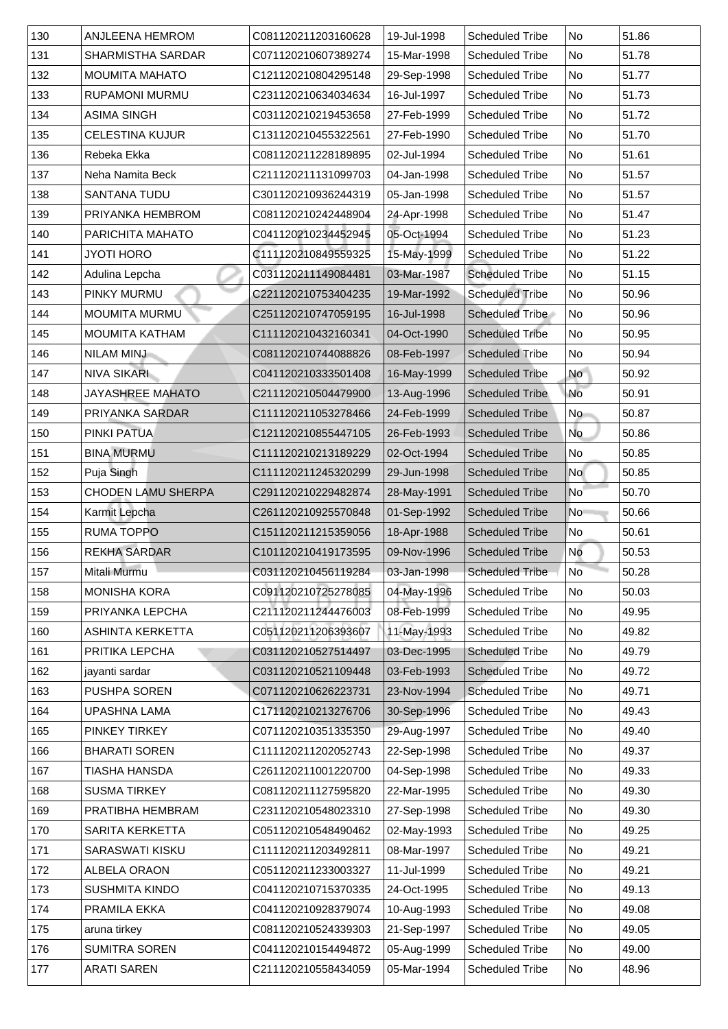| 130 | <b>ANJLEENA HEMROM</b>    | C081120211203160628 | 19-Jul-1998 | <b>Scheduled Tribe</b> | No              | 51.86 |
|-----|---------------------------|---------------------|-------------|------------------------|-----------------|-------|
| 131 | <b>SHARMISTHA SARDAR</b>  | C071120210607389274 | 15-Mar-1998 | <b>Scheduled Tribe</b> | No              | 51.78 |
| 132 | <b>MOUMITA MAHATO</b>     | C121120210804295148 | 29-Sep-1998 | <b>Scheduled Tribe</b> | No              | 51.77 |
| 133 | <b>RUPAMONI MURMU</b>     | C231120210634034634 | 16-Jul-1997 | <b>Scheduled Tribe</b> | No              | 51.73 |
| 134 | <b>ASIMA SINGH</b>        | C031120210219453658 | 27-Feb-1999 | <b>Scheduled Tribe</b> | No              | 51.72 |
| 135 | <b>CELESTINA KUJUR</b>    | C131120210455322561 | 27-Feb-1990 | <b>Scheduled Tribe</b> | No              | 51.70 |
| 136 | Rebeka Ekka               | C081120211228189895 | 02-Jul-1994 | <b>Scheduled Tribe</b> | No              | 51.61 |
| 137 | Neha Namita Beck          | C211120211131099703 | 04-Jan-1998 | <b>Scheduled Tribe</b> | No              | 51.57 |
| 138 | <b>SANTANA TUDU</b>       | C301120210936244319 | 05-Jan-1998 | <b>Scheduled Tribe</b> | No              | 51.57 |
| 139 | PRIYANKA HEMBROM          | C081120210242448904 | 24-Apr-1998 | <b>Scheduled Tribe</b> | No              | 51.47 |
| 140 | <b>PARICHITA MAHATO</b>   | C041120210234452945 | 05-Oct-1994 | <b>Scheduled Tribe</b> | No              | 51.23 |
| 141 | <b>JYOTI HORO</b>         | C111120210849559325 | 15-May-1999 | <b>Scheduled Tribe</b> | No              | 51.22 |
| 142 | Adulina Lepcha            | C031120211149084481 | 03-Mar-1987 | <b>Scheduled Tribe</b> | No              | 51.15 |
| 143 | PINKY MURMU               | C221120210753404235 | 19-Mar-1992 | <b>Scheduled Tribe</b> | No              | 50.96 |
| 144 | <b>MOUMITA MURMU</b>      | C251120210747059195 | 16-Jul-1998 | <b>Scheduled Tribe</b> | No              | 50.96 |
| 145 | <b>MOUMITA KATHAM</b>     | C111120210432160341 | 04-Oct-1990 | <b>Scheduled Tribe</b> | No              | 50.95 |
| 146 | <b>NILAM MINJ</b>         | C081120210744088826 | 08-Feb-1997 | <b>Scheduled Tribe</b> | No              | 50.94 |
| 147 | <b>NIVA SIKARI</b>        | C041120210333501408 | 16-May-1999 | <b>Scheduled Tribe</b> | <b>No</b>       | 50.92 |
| 148 | <b>JAYASHREE MAHATO</b>   | C211120210504479900 | 13-Aug-1996 | <b>Scheduled Tribe</b> | <b>No</b>       | 50.91 |
| 149 | <b>PRIYANKA SARDAR</b>    | C111120211053278466 | 24-Feb-1999 | <b>Scheduled Tribe</b> | No              | 50.87 |
| 150 | <b>PINKI PATUA</b>        | C121120210855447105 | 26-Feb-1993 | <b>Scheduled Tribe</b> | No              | 50.86 |
| 151 | <b>BINA MURMU</b>         | C111120210213189229 | 02-Oct-1994 | <b>Scheduled Tribe</b> | No              | 50.85 |
| 152 | Puja Singh                | C111120211245320299 | 29-Jun-1998 | <b>Scheduled Tribe</b> | No l            | 50.85 |
| 153 | <b>CHODEN LAMU SHERPA</b> | C291120210229482874 | 28-May-1991 | <b>Scheduled Tribe</b> | No              | 50.70 |
| 154 | Karmit Lepcha             | C261120210925570848 | 01-Sep-1992 | <b>Scheduled Tribe</b> | N <sub>o</sub>  | 50.66 |
| 155 | <b>RUMA TOPPO</b>         | C151120211215359056 | 18-Apr-1988 | <b>Scheduled Tribe</b> | No              | 50.61 |
| 156 | <b>REKHA SARDAR</b>       | C101120210419173595 | 09-Nov-1996 | <b>Scheduled Tribe</b> | No              | 50.53 |
| 157 | Mitali Murmu              | C031120210456119284 | 03-Jan-1998 | <b>Scheduled Tribe</b> | No <sup>-</sup> | 50.28 |
| 158 | <b>MONISHA KORA</b>       | C091120210725278085 | 04-May-1996 | <b>Scheduled Tribe</b> | No              | 50.03 |
| 159 | PRIYANKA LEPCHA           | C211120211244476003 | 08-Feb-1999 | <b>Scheduled Tribe</b> | No              | 49.95 |
| 160 | <b>ASHINTA KERKETTA</b>   | C051120211206393607 | 11-May-1993 | <b>Scheduled Tribe</b> | No              | 49.82 |
| 161 | PRITIKA LEPCHA            | C031120210527514497 | 03-Dec-1995 | <b>Scheduled Tribe</b> | No              | 49.79 |
| 162 | jayanti sardar            | C031120210521109448 | 03-Feb-1993 | <b>Scheduled Tribe</b> | No              | 49.72 |
| 163 | <b>PUSHPA SOREN</b>       | C071120210626223731 | 23-Nov-1994 | <b>Scheduled Tribe</b> | No              | 49.71 |
| 164 | <b>UPASHNA LAMA</b>       | C171120210213276706 | 30-Sep-1996 | <b>Scheduled Tribe</b> | No              | 49.43 |
| 165 | <b>PINKEY TIRKEY</b>      | C071120210351335350 | 29-Aug-1997 | <b>Scheduled Tribe</b> | No              | 49.40 |
| 166 | <b>BHARATI SOREN</b>      | C111120211202052743 | 22-Sep-1998 | <b>Scheduled Tribe</b> | No              | 49.37 |
| 167 | <b>TIASHA HANSDA</b>      | C261120211001220700 | 04-Sep-1998 | <b>Scheduled Tribe</b> | No              | 49.33 |
| 168 | <b>SUSMA TIRKEY</b>       | C081120211127595820 | 22-Mar-1995 | <b>Scheduled Tribe</b> | No              | 49.30 |
| 169 | PRATIBHA HEMBRAM          | C231120210548023310 | 27-Sep-1998 | <b>Scheduled Tribe</b> | No              | 49.30 |
| 170 | <b>SARITA KERKETTA</b>    | C051120210548490462 | 02-May-1993 | <b>Scheduled Tribe</b> | No              | 49.25 |
| 171 | <b>SARASWATI KISKU</b>    | C111120211203492811 | 08-Mar-1997 | <b>Scheduled Tribe</b> | No No           | 49.21 |
| 172 | ALBELA ORAON              | C051120211233003327 | 11-Jul-1999 | <b>Scheduled Tribe</b> | No              | 49.21 |
| 173 | <b>SUSHMITA KINDO</b>     | C041120210715370335 | 24-Oct-1995 | <b>Scheduled Tribe</b> | No No           | 49.13 |
| 174 | <b>PRAMILA EKKA</b>       | C041120210928379074 | 10-Aug-1993 | <b>Scheduled Tribe</b> | No              | 49.08 |
| 175 | aruna tirkey              | C081120210524339303 | 21-Sep-1997 | <b>Scheduled Tribe</b> | No              | 49.05 |
| 176 | <b>SUMITRA SOREN</b>      | C041120210154494872 | 05-Aug-1999 | <b>Scheduled Tribe</b> | No              | 49.00 |
| 177 | <b>ARATI SAREN</b>        | C211120210558434059 | 05-Mar-1994 | <b>Scheduled Tribe</b> | No              | 48.96 |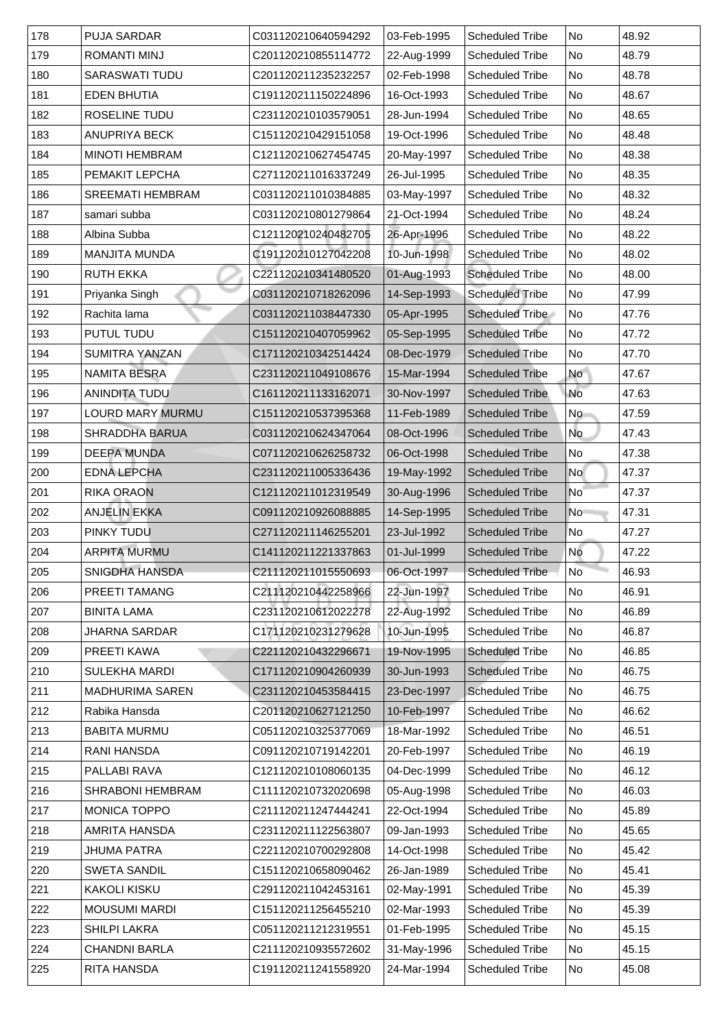| 178 | <b>PUJA SARDAR</b>      | C031120210640594292 | 03-Feb-1995 | <b>Scheduled Tribe</b> | No                       | 48.92 |
|-----|-------------------------|---------------------|-------------|------------------------|--------------------------|-------|
| 179 | <b>ROMANTI MINJ</b>     | C201120210855114772 | 22-Aug-1999 | <b>Scheduled Tribe</b> | No                       | 48.79 |
| 180 | <b>SARASWATI TUDU</b>   | C201120211235232257 | 02-Feb-1998 | <b>Scheduled Tribe</b> | No                       | 48.78 |
| 181 | <b>EDEN BHUTIA</b>      | C191120211150224896 | 16-Oct-1993 | <b>Scheduled Tribe</b> | No                       | 48.67 |
| 182 | <b>ROSELINE TUDU</b>    | C231120210103579051 | 28-Jun-1994 | <b>Scheduled Tribe</b> | No                       | 48.65 |
| 183 | <b>ANUPRIYA BECK</b>    | C151120210429151058 | 19-Oct-1996 | <b>Scheduled Tribe</b> | No                       | 48.48 |
| 184 | <b>MINOTI HEMBRAM</b>   | C121120210627454745 | 20-May-1997 | <b>Scheduled Tribe</b> | No                       | 48.38 |
| 185 | <b>PEMAKIT LEPCHA</b>   | C271120211016337249 | 26-Jul-1995 | <b>Scheduled Tribe</b> | No                       | 48.35 |
| 186 | <b>SREEMATI HEMBRAM</b> | C031120211010384885 | 03-May-1997 | <b>Scheduled Tribe</b> | No                       | 48.32 |
| 187 | samari subba            | C031120210801279864 | 21-Oct-1994 | <b>Scheduled Tribe</b> | No                       | 48.24 |
| 188 | Albina Subba            | C121120210240482705 | 26-Apr-1996 | <b>Scheduled Tribe</b> | No                       | 48.22 |
| 189 | <b>MANJITA MUNDA</b>    | C191120210127042208 | 10-Jun-1998 | <b>Scheduled Tribe</b> | No                       | 48.02 |
| 190 | <b>RUTH EKKA</b>        | C221120210341480520 | 01-Aug-1993 | <b>Scheduled Tribe</b> | No                       | 48.00 |
| 191 | Priyanka Singh          | C031120210718262096 | 14-Sep-1993 | <b>Scheduled Tribe</b> | No                       | 47.99 |
| 192 | Rachita lama            | C031120211038447330 | 05-Apr-1995 | <b>Scheduled Tribe</b> | No                       | 47.76 |
| 193 | <b>PUTUL TUDU</b>       | C151120210407059962 | 05-Sep-1995 | <b>Scheduled Tribe</b> | No                       | 47.72 |
| 194 | <b>SUMITRA YANZAN</b>   | C171120210342514424 | 08-Dec-1979 | <b>Scheduled Tribe</b> | No                       | 47.70 |
| 195 | <b>NAMITA BESRA</b>     | C231120211049108676 | 15-Mar-1994 | <b>Scheduled Tribe</b> | <b>No</b>                | 47.67 |
| 196 | <b>ANINDITA TUDU</b>    | C161120211133162071 | 30-Nov-1997 | <b>Scheduled Tribe</b> | <b>No</b>                | 47.63 |
| 197 | <b>LOURD MARY MURMU</b> | C151120210537395368 | 11-Feb-1989 | <b>Scheduled Tribe</b> | No                       | 47.59 |
| 198 | <b>SHRADDHA BARUA</b>   | C031120210624347064 | 08-Oct-1996 | <b>Scheduled Tribe</b> | No                       | 47.43 |
| 199 | <b>DEEPA MUNDA</b>      | C071120210626258732 | 06-Oct-1998 | <b>Scheduled Tribe</b> | No                       | 47.38 |
| 200 | <b>EDNA LEPCHA</b>      | C231120211005336436 | 19-May-1992 | <b>Scheduled Tribe</b> | No l                     | 47.37 |
| 201 | <b>RIKA ORAON</b>       | C121120211012319549 | 30-Aug-1996 | <b>Scheduled Tribe</b> | $\overline{\mathsf{No}}$ | 47.37 |
| 202 | <b>ANJELIN EKKA</b>     | C091120210926088885 | 14-Sep-1995 | <b>Scheduled Tribe</b> | No                       | 47.31 |
| 203 | <b>PINKY TUDU</b>       | C271120211146255201 | 23-Jul-1992 | <b>Scheduled Tribe</b> | No                       | 47.27 |
| 204 | <b>ARPITA MURMU</b>     | C141120211221337863 | 01-Jul-1999 | <b>Scheduled Tribe</b> | <b>No</b>                | 47.22 |
| 205 | <b>SNIGDHA HANSDA</b>   | C211120211015550693 | 06-Oct-1997 | <b>Scheduled Tribe</b> | No                       | 46.93 |
| 206 | <b>PREETI TAMANG</b>    | C211120210442258966 | 22-Jun-1997 | <b>Scheduled Tribe</b> | No                       | 46.91 |
| 207 | <b>BINITA LAMA</b>      | C231120210612022278 | 22-Aug-1992 | <b>Scheduled Tribe</b> | No                       | 46.89 |
| 208 | <b>JHARNA SARDAR</b>    | C171120210231279628 | 10-Jun-1995 | <b>Scheduled Tribe</b> | No                       | 46.87 |
| 209 | PREETI KAWA             | C221120210432296671 | 19-Nov-1995 | <b>Scheduled Tribe</b> | No                       | 46.85 |
| 210 | <b>SULEKHA MARDI</b>    | C171120210904260939 | 30-Jun-1993 | <b>Scheduled Tribe</b> | No                       | 46.75 |
| 211 | <b>MADHURIMA SAREN</b>  | C231120210453584415 | 23-Dec-1997 | <b>Scheduled Tribe</b> | No                       | 46.75 |
| 212 | Rabika Hansda           | C201120210627121250 | 10-Feb-1997 | <b>Scheduled Tribe</b> | No                       | 46.62 |
| 213 | <b>BABITA MURMU</b>     | C051120210325377069 | 18-Mar-1992 | <b>Scheduled Tribe</b> | No                       | 46.51 |
| 214 | <b>RANI HANSDA</b>      | C091120210719142201 | 20-Feb-1997 | <b>Scheduled Tribe</b> | No                       | 46.19 |
| 215 | <b>PALLABI RAVA</b>     | C121120210108060135 | 04-Dec-1999 | <b>Scheduled Tribe</b> | No                       | 46.12 |
| 216 | <b>SHRABONI HEMBRAM</b> | C111120210732020698 | 05-Aug-1998 | <b>Scheduled Tribe</b> | No                       | 46.03 |
| 217 | <b>MONICA TOPPO</b>     | C211120211247444241 | 22-Oct-1994 | <b>Scheduled Tribe</b> | No                       | 45.89 |
| 218 | <b>AMRITA HANSDA</b>    | C231120211122563807 | 09-Jan-1993 | <b>Scheduled Tribe</b> | No                       | 45.65 |
| 219 | <b>JHUMA PATRA</b>      | C221120210700292808 | 14-Oct-1998 | <b>Scheduled Tribe</b> | No No                    | 45.42 |
| 220 | <b>SWETA SANDIL</b>     | C151120210658090462 | 26-Jan-1989 | <b>Scheduled Tribe</b> | No                       | 45.41 |
| 221 | <b>KAKOLI KISKU</b>     | C291120211042453161 | 02-May-1991 | <b>Scheduled Tribe</b> | No                       | 45.39 |
| 222 | <b>MOUSUMI MARDI</b>    | C151120211256455210 | 02-Mar-1993 | <b>Scheduled Tribe</b> | No                       | 45.39 |
| 223 | <b>SHILPI LAKRA</b>     | C051120211212319551 | 01-Feb-1995 | <b>Scheduled Tribe</b> | No                       | 45.15 |
| 224 | <b>CHANDNI BARLA</b>    | C211120210935572602 | 31-May-1996 | <b>Scheduled Tribe</b> | No No                    | 45.15 |
| 225 | <b>RITA HANSDA</b>      | C191120211241558920 | 24-Mar-1994 | <b>Scheduled Tribe</b> | No                       | 45.08 |
|     |                         |                     |             |                        |                          |       |